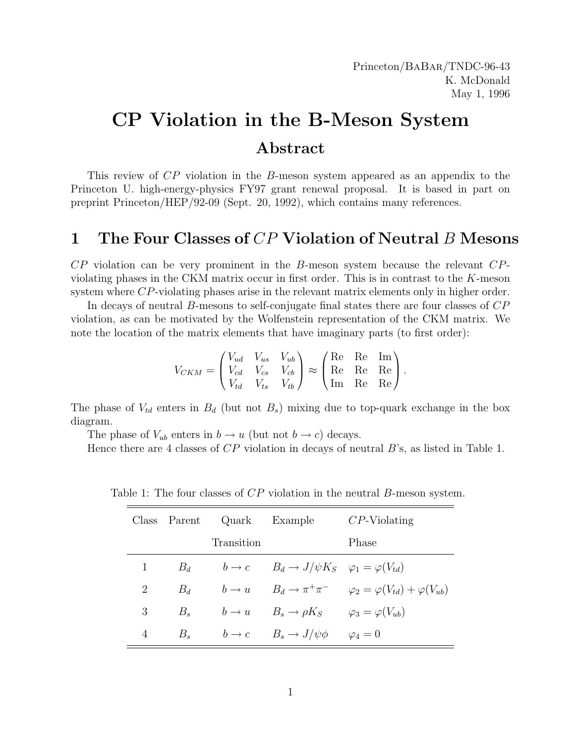# CP Violation in the B-Meson System Abstract

This review of CP violation in the B-meson system appeared as an appendix to the Princeton U. high-energy-physics FY97 grant renewal proposal. It is based in part on preprint Princeton/HEP/92-09 (Sept. 20, 1992), which contains many references.

# 1 The Four Classes of  $CP$  Violation of Neutral B Mesons

 $CP$  violation can be very prominent in the B-meson system because the relevant  $CP$ violating phases in the CKM matrix occur in first order. This is in contrast to the K-meson system where CP-violating phases arise in the relevant matrix elements only in higher order.

In decays of neutral B-mesons to self-conjugate final states there are four classes of CP violation, as can be motivated by the Wolfenstein representation of the CKM matrix. We note the location of the matrix elements that have imaginary parts (to first order):

$$
V_{CKM} = \begin{pmatrix} V_{ud} & V_{us} & V_{ub} \\ V_{cd} & V_{cs} & V_{cb} \\ V_{td} & V_{ts} & V_{tb} \end{pmatrix} \approx \begin{pmatrix} \text{Re} & \text{Re} & \text{Im} \\ \text{Re} & \text{Re} & \text{Re} \\ \text{Im} & \text{Re} & \text{Re} \end{pmatrix}.
$$

The phase of  $V_{td}$  enters in  $B_d$  (but not  $B_s$ ) mixing due to top-quark exchange in the box diagram.

The phase of  $V_{ub}$  enters in  $b \to u$  (but not  $b \to c$ ) decays.

Hence there are 4 classes of  $CP$  violation in decays of neutral  $B$ 's, as listed in Table 1.

|   |         |            | Class Parent Quark Example                                   | $CP$ -Violating                                                             |  |
|---|---------|------------|--------------------------------------------------------------|-----------------------------------------------------------------------------|--|
|   |         | Transition |                                                              | Phase                                                                       |  |
| 1 | $B_d$   |            | $b \to c$ $B_d \to J/\psi K_S$ $\varphi_1 = \varphi(V_{td})$ |                                                                             |  |
| 2 | $B_d$   |            |                                                              | $b \to u$ $B_d \to \pi^+\pi^ \varphi_2 = \varphi(V_{td}) + \varphi(V_{ub})$ |  |
| 3 | $B_{s}$ |            | $b \to u$ $B_s \to \rho K_S$ $\varphi_3 = \varphi(V_{ub})$   |                                                                             |  |
| 4 |         |            | $B_s$ $b \to c$ $B_s \to J/\psi \phi$ $\varphi_4 = 0$        |                                                                             |  |

Table 1: The four classes of CP violation in the neutral B-meson system.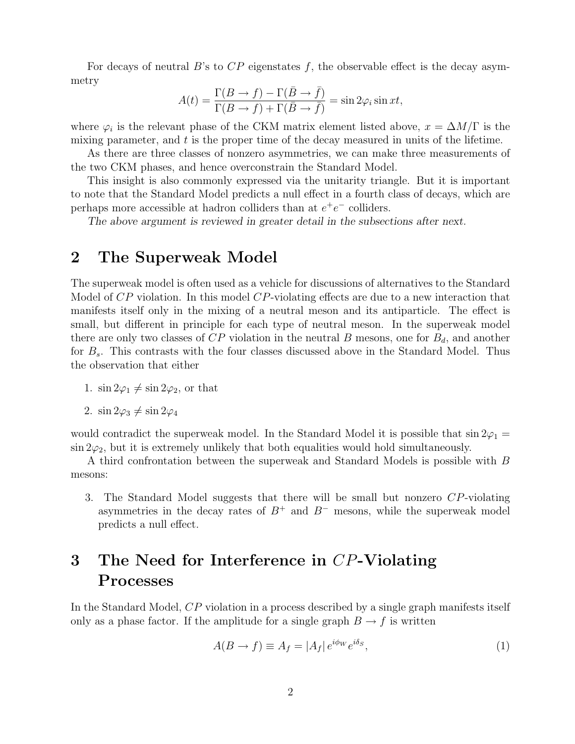For decays of neutral B's to  $CP$  eigenstates f, the observable effect is the decay asymmetry

$$
A(t) = \frac{\Gamma(B \to f) - \Gamma(\bar{B} \to \bar{f})}{\Gamma(B \to f) + \Gamma(\bar{B} \to \bar{f})} = \sin 2\varphi_i \sin xt,
$$

where  $\varphi_i$  is the relevant phase of the CKM matrix element listed above,  $x = \Delta M/\Gamma$  is the mixing parameter, and  $t$  is the proper time of the decay measured in units of the lifetime.

As there are three classes of nonzero asymmetries, we can make three measurements of the two CKM phases, and hence overconstrain the Standard Model.

This insight is also commonly expressed via the unitarity triangle. But it is important to note that the Standard Model predicts a null effect in a fourth class of decays, which are perhaps more accessible at hadron colliders than at  $e^+e^-$  colliders.

The above argument is reviewed in greater detail in the subsections after next.

### 2 The Superweak Model

The superweak model is often used as a vehicle for discussions of alternatives to the Standard Model of CP violation. In this model CP-violating effects are due to a new interaction that manifests itself only in the mixing of a neutral meson and its antiparticle. The effect is small, but different in principle for each type of neutral meson. In the superweak model there are only two classes of  $CP$  violation in the neutral B mesons, one for  $B_d$ , and another for  $B_s$ . This contrasts with the four classes discussed above in the Standard Model. Thus the observation that either

1.  $\sin 2\varphi_1 \neq \sin 2\varphi_2$ , or that

2. 
$$
\sin 2\varphi_3 \neq \sin 2\varphi_4
$$

would contradict the superweak model. In the Standard Model it is possible that  $\sin 2\varphi_1 =$  $\sin 2\varphi_2$ , but it is extremely unlikely that both equalities would hold simultaneously.

A third confrontation between the superweak and Standard Models is possible with B mesons:

3. The Standard Model suggests that there will be small but nonzero CP-violating asymmetries in the decay rates of  $B^+$  and  $B^-$  mesons, while the superweak model predicts a null effect.

# 3 The Need for Interference in CP-Violating Processes

In the Standard Model, CP violation in a process described by a single graph manifests itself only as a phase factor. If the amplitude for a single graph  $B \to f$  is written

$$
A(B \to f) \equiv A_f = |A_f| \, e^{i\phi_W} e^{i\delta_S},\tag{1}
$$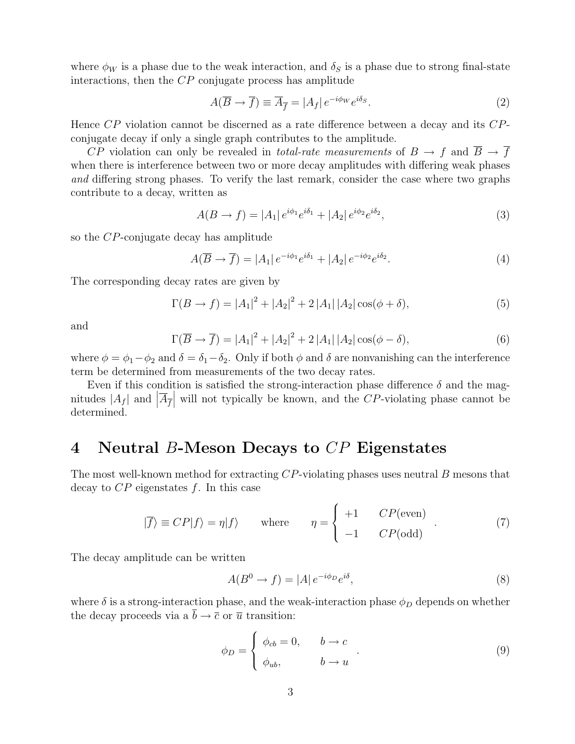where  $\phi_W$  is a phase due to the weak interaction, and  $\delta_S$  is a phase due to strong final-state interactions, then the CP conjugate process has amplitude

$$
A(\overline{B} \to \overline{f}) \equiv \overline{A}_{\overline{f}} = |A_f| e^{-i\phi_W} e^{i\delta_S}.
$$
 (2)

Hence CP violation cannot be discerned as a rate difference between a decay and its CPconjugate decay if only a single graph contributes to the amplitude.

CP violation can only be revealed in *total-rate measurements* of  $B \to f$  and  $\overline{B} \to \overline{f}$ when there is interference between two or more decay amplitudes with differing weak phases and differing strong phases. To verify the last remark, consider the case where two graphs contribute to a decay, written as

$$
A(B \to f) = |A_1| e^{i\phi_1} e^{i\delta_1} + |A_2| e^{i\phi_2} e^{i\delta_2}, \tag{3}
$$

so the CP-conjugate decay has amplitude

$$
A(\overline{B} \to \overline{f}) = |A_1| e^{-i\phi_1} e^{i\delta_1} + |A_2| e^{-i\phi_2} e^{i\delta_2}.
$$
\n
$$
\tag{4}
$$

The corresponding decay rates are given by

$$
\Gamma(B \to f) = |A_1|^2 + |A_2|^2 + 2|A_1| |A_2| \cos(\phi + \delta), \tag{5}
$$

and

$$
\Gamma(\overline{B} \to \overline{f}) = |A_1|^2 + |A_2|^2 + 2|A_1||A_2|\cos(\phi - \delta), \tag{6}
$$

where  $\phi = \phi_1 - \phi_2$  and  $\delta = \delta_1 - \delta_2$ . Only if both  $\phi$  and  $\delta$  are nonvanishing can the interference term be determined from measurements of the two decay rates.

Even if this condition is satisfied the strong-interaction phase difference  $\delta$  and the magnitudes  $|A_f|$  and  $|\overline{A}_{\overline{f}}|$  will not typically be known, and the CP-violating phase cannot be determined.

# 4 Neutral B-Meson Decays to  $\mathbb{CP}$  Eigenstates

The most well-known method for extracting  $CP$ -violating phases uses neutral B mesons that decay to  $CP$  eigenstates f. In this case

$$
|\overline{f}\rangle \equiv CP|f\rangle = \eta|f\rangle \quad \text{where} \quad \eta = \begin{cases} +1 & CP(\text{even}) \\ -1 & CP(\text{odd}) \end{cases} . \tag{7}
$$

 $\overline{a}$ 

The decay amplitude can be written

$$
A(B^0 \to f) = |A| e^{-i\phi_D} e^{i\delta}, \qquad (8)
$$

where  $\delta$  is a strong-interaction phase, and the weak-interaction phase  $\phi_D$  depends on whether the decay proceeds via a  $\bar{b} \rightarrow \bar{c}$  or  $\bar{u}$  transition:

$$
\phi_D = \begin{cases} \phi_{cb} = 0, & b \to c \\ \phi_{ub}, & b \to u \end{cases} . \tag{9}
$$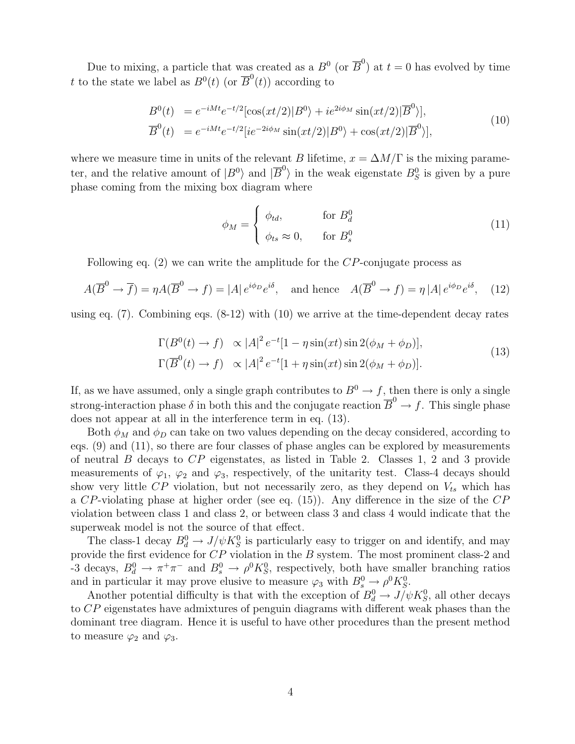Due to mixing, a particle that was created as a  $B^0$  (or  $\overline{B}^0$ ) at  $t=0$  has evolved by time t to the state we label as  $B^0(t)$  (or  $\overline{B}^0(t)$ ) according to

$$
B^{0}(t) = e^{-iMt}e^{-t/2}[\cos(xt/2)|B^{0}\rangle + ie^{2i\phi_{M}}\sin(xt/2)|\overline{B}^{0}\rangle],
$$
  
\n
$$
\overline{B}^{0}(t) = e^{-iMt}e^{-t/2}[ie^{-2i\phi_{M}}\sin(xt/2)|B^{0}\rangle + \cos(xt/2)|\overline{B}^{0}\rangle],
$$
\n(10)

where we measure time in units of the relevant B lifetime,  $x = \Delta M/\Gamma$  is the mixing parameter, and the relative amount of  $|B^0\rangle$  and  $|\overline{B}^0\rangle$  in the weak eigenstate  $B_S^0$  is given by a pure phase coming from the mixing box diagram where

$$
\phi_M = \begin{cases} \phi_{td}, & \text{for } B_d^0 \\ \phi_{ts} \approx 0, & \text{for } B_s^0 \end{cases}
$$
 (11)

Following eq.  $(2)$  we can write the amplitude for the CP-conjugate process as

$$
A(\overline{B}^0 \to \overline{f}) = \eta A(\overline{B}^0 \to f) = |A| e^{i\phi_D} e^{i\delta}, \text{ and hence } A(\overline{B}^0 \to f) = \eta |A| e^{i\phi_D} e^{i\delta}, \quad (12)
$$

using eq. (7). Combining eqs. (8-12) with (10) we arrive at the time-dependent decay rates

$$
\Gamma(B^0(t) \to f) \propto |A|^2 e^{-t} [1 - \eta \sin(xt) \sin 2(\phi_M + \phi_D)],
$$
  
\n
$$
\Gamma(\overline{B}^0(t) \to f) \propto |A|^2 e^{-t} [1 + \eta \sin(xt) \sin 2(\phi_M + \phi_D)].
$$
\n(13)

If, as we have assumed, only a single graph contributes to  $B^0 \to f$ , then there is only a single strong-interaction phase  $\delta$  in both this and the conjugate reaction  $\overline{B}^0 \to f$ . This single phase does not appear at all in the interference term in eq. (13).

Both  $\phi_M$  and  $\phi_D$  can take on two values depending on the decay considered, according to eqs. (9) and (11), so there are four classes of phase angles can be explored by measurements of neutral B decays to  $CP$  eigenstates, as listed in Table 2. Classes 1, 2 and 3 provide measurements of  $\varphi_1$ ,  $\varphi_2$  and  $\varphi_3$ , respectively, of the unitarity test. Class-4 decays should show very little CP violation, but not necessarily zero, as they depend on  $V_{ts}$  which has a CP-violating phase at higher order (see eq. (15)). Any difference in the size of the CP violation between class 1 and class 2, or between class 3 and class 4 would indicate that the superweak model is not the source of that effect.

The class-1 decay  $B_d^0 \to J/\psi K_S^0$  is particularly easy to trigger on and identify, and may provide the first evidence for CP violation in the B system. The most prominent class-2 and -3 decays,  $B_d^0 \to \pi^+\pi^-$  and  $B_s^0 \to \rho^0 K_S^0$ , respectively, both have smaller branching ratios and in particular it may prove elusive to measure  $\varphi_3$  with  $B_s^0 \to \rho^0 K_S^0$ .

Another potential difficulty is that with the exception of  $B_d^0 \to J/\psi K_S^0$ , all other decays to CP eigenstates have admixtures of penguin diagrams with different weak phases than the dominant tree diagram. Hence it is useful to have other procedures than the present method to measure  $\varphi_2$  and  $\varphi_3$ .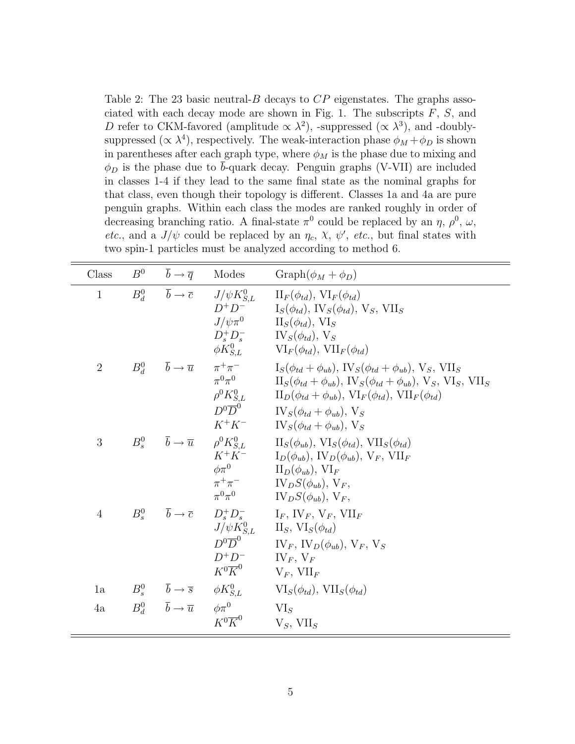Table 2: The 23 basic neutral- $B$  decays to  $CP$  eigenstates. The graphs associated with each decay mode are shown in Fig. 1. The subscripts  $F, S$ , and D refer to CKM-favored (amplitude  $\propto \lambda^2$ ), -suppressed ( $\propto \lambda^3$ ), and -doublysuppressed ( $\propto \lambda^4$ ), respectively. The weak-interaction phase  $\phi_M + \phi_D$  is shown in parentheses after each graph type, where  $\phi_M$  is the phase due to mixing and  $\phi_D$  is the phase due to b-quark decay. Penguin graphs (V-VII) are included in classes 1-4 if they lead to the same final state as the nominal graphs for that class, even though their topology is different. Classes 1a and 4a are pure penguin graphs. Within each class the modes are ranked roughly in order of decreasing branching ratio. A final-state  $\pi^0$  could be replaced by an  $\eta$ ,  $\rho^0$ ,  $\omega$ , etc., and a  $J/\psi$  could be replaced by an  $\eta_c$ ,  $\chi$ ,  $\psi'$ , etc., but final states with two spin-1 particles must be analyzed according to method 6.

| Class          |                                                                  | $B^0 \qquad \bar{b} \to \bar{q} \qquad \text{Models}$                                                                                                                                                                                                                                                                                                                               | $Graph(\phi_M + \phi_D)$                                                                                                                                                                                                                                                                                                                                                                                                                                                         |
|----------------|------------------------------------------------------------------|-------------------------------------------------------------------------------------------------------------------------------------------------------------------------------------------------------------------------------------------------------------------------------------------------------------------------------------------------------------------------------------|----------------------------------------------------------------------------------------------------------------------------------------------------------------------------------------------------------------------------------------------------------------------------------------------------------------------------------------------------------------------------------------------------------------------------------------------------------------------------------|
| $\mathbf{1}$   |                                                                  | $D^+D^-$                                                                                                                                                                                                                                                                                                                                                                            | $B_d^0$ $\overline{b} \to \overline{c}$ $J/\psi K_{S,L}^0$ $\text{II}_F(\phi_{td}), \text{VI}_F(\phi_{td})$<br>$I_S(\phi_{td}), IV_S(\phi_{td}), V_S, VII_S$<br>$J/\psi \pi^0$ $II_S(\phi_{td}), VI_S$<br>$D_s^+ D_s^ IV_S(\phi_{td}), V_S$<br>$\phi K_{S,L}^0$ $\text{VI}_F(\phi_{td}), \text{VII}_F(\phi_{td})$                                                                                                                                                                |
| $\overline{2}$ |                                                                  | $\pi^0\pi^0$<br>$D^0\overline{D}^0$                                                                                                                                                                                                                                                                                                                                                 | $B_d^0$ $\overline{b} \to \overline{u}$ $\pi^+\pi^ I_S(\phi_{td} + \phi_{ub}), \text{IV}_S(\phi_{td} + \phi_{ub}), \text{V}_S, \text{VII}_S$<br>$\Pi_S(\phi_{td} + \phi_{ub}), \, \text{IV}_S(\phi_{td} + \phi_{ub}), \, \text{V}_S, \, \text{VI}_S, \, \text{VII}_S$<br>$\rho^0 K_{S,L}^0$ $\qquad \text{II}_D(\phi_{td} + \phi_{ub}), \text{ VI}_F(\phi_{td}), \text{ VII}_F(\phi_{td})$<br>$IV_{S}(\phi_{td} + \phi_{ub}), V_{S}$<br>$K^+K^ IV_S(\phi_{td} + \phi_{ub}), V_S$ |
| 3              |                                                                  |                                                                                                                                                                                                                                                                                                                                                                                     | $B_s^0$ $\overline{b} \to \overline{u}$ $\rho^0 K_{S,L}^0$ $\text{II}_S(\phi_{ub}), \text{VI}_S(\phi_{td}), \text{VII}_S(\phi_{td})$<br>$K^+K^ I_D(\phi_{ub}), \text{IV}_D(\phi_{ub}), \text{V}_F, \text{VII}_F$<br>$\phi \pi^0$ $\qquad \qquad \Pi_D(\phi_{ub}), \text{ VI}_F$<br>$\pi^+\pi^ \qquad \qquad \text{IV}_D S(\phi_{ub}), \text{V}_F,$<br>$\pi^0 \pi^0$ $\qquad \qquad \text{IV}_D S(\phi_{ub}), \text{V}_F,$                                                        |
| $\overline{4}$ |                                                                  | $D^0\overline{D}^0$<br>$D^+D^ \qquad$ $\qquad$ $\qquad$ $\qquad$ $\qquad$ $\qquad$ $\qquad$ $\qquad$ $\qquad$ $\qquad$ $\qquad$ $\qquad$ $\qquad$ $\qquad$ $\qquad$ $\qquad$ $\qquad$ $\qquad$ $\qquad$ $\qquad$ $\qquad$ $\qquad$ $\qquad$ $\qquad$ $\qquad$ $\qquad$ $\qquad$ $\qquad$ $\qquad$ $\qquad$ $\qquad$ $\qquad$ $\qquad$ $\qquad$ $\qquad$ $\q$<br>$K^0\overline{K}^0$ | $B_s^0$ $\overline{b} \rightarrow \overline{c}$ $D_s^+ D_s^ I_F$ , $IV_F$ , $V_F$ , $VII_F$<br>$J/\psi K_{S,L}^0$ II <sub>S</sub> , VI <sub>S</sub> $(\phi_{td})$<br>$IV_F$ , $IV_D(\phi_{ub})$ , $V_F$ , $V_S$<br>$V_F$ , $VII_F$                                                                                                                                                                                                                                               |
| 1a             | $B_s^0$ $\overline{b} \rightarrow \overline{s}$ $\phi K_{S.L}^0$ |                                                                                                                                                                                                                                                                                                                                                                                     | $VI_S(\phi_{td}), VII_S(\phi_{td})$                                                                                                                                                                                                                                                                                                                                                                                                                                              |
| 4a             | $B_d^0 \qquad \overline{b} \to \overline{u}$                     | $\phi\pi^0$<br>$K^0\overline{K}^0$                                                                                                                                                                                                                                                                                                                                                  | $VI_{S}$<br>$V_S$ , VII <sub>S</sub>                                                                                                                                                                                                                                                                                                                                                                                                                                             |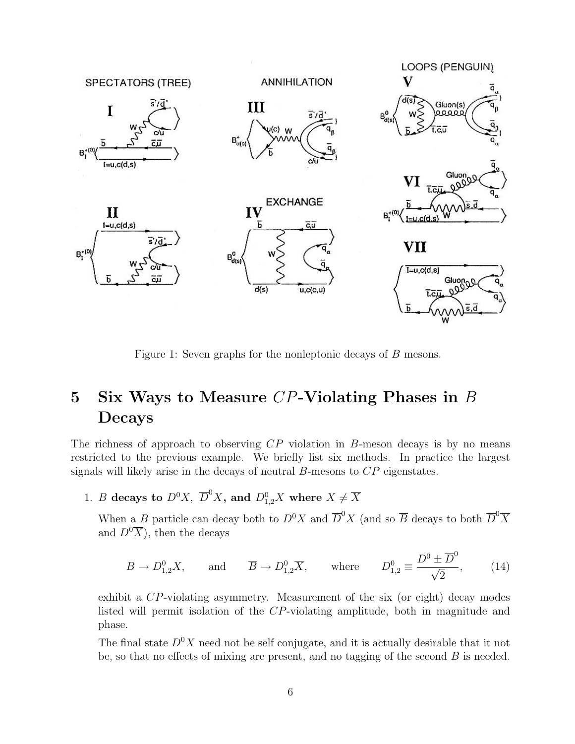

Figure 1: Seven graphs for the nonleptonic decays of B mesons.

# 5 Six Ways to Measure CP-Violating Phases in B Decays

The richness of approach to observing  $\mathbb{CP}$  violation in B-meson decays is by no means restricted to the previous example. We briefly list six methods. In practice the largest signals will likely arise in the decays of neutral  $B$ -mesons to  $CP$  eigenstates.

1. B decays to  $D^0X$ ,  $\overline{D}^0X$ , and  $D^0_{1,2}X$  where  $X \neq \overline{X}$ 

When a B particle can decay both to  $D^0 X$  and  $\overline{D}^0 X$  (and so  $\overline{B}$  decays to both  $\overline{D}^0 \overline{X}$ and  $D^0\overline{X}$ , then the decays

$$
B \to D_{1,2}^0 X, \quad \text{and} \quad \overline{B} \to D_{1,2}^0 \overline{X}, \quad \text{where} \quad D_{1,2}^0 \equiv \frac{D^0 \pm \overline{D}^0}{\sqrt{2}}, \quad (14)
$$

exhibit a CP-violating asymmetry. Measurement of the six (or eight) decay modes listed will permit isolation of the CP-violating amplitude, both in magnitude and phase.

The final state  $D^0X$  need not be self conjugate, and it is actually desirable that it not be, so that no effects of mixing are present, and no tagging of the second  $B$  is needed.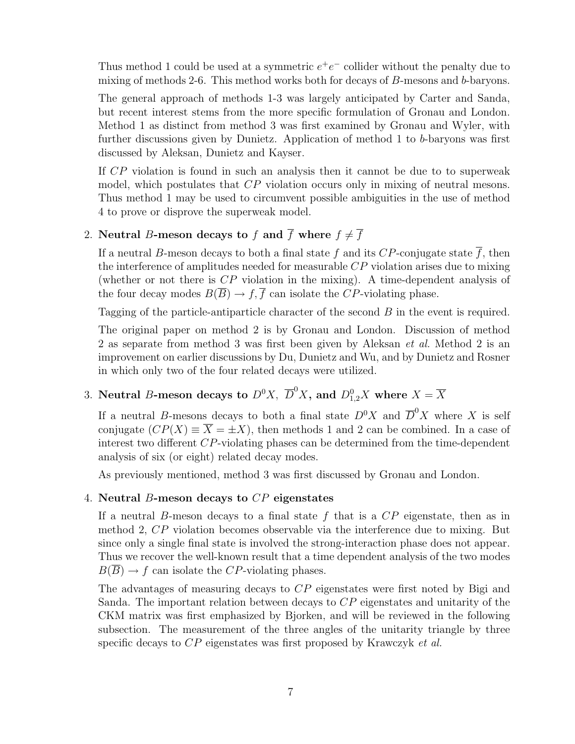Thus method 1 could be used at a symmetric  $e^+e^-$  collider without the penalty due to mixing of methods 2-6. This method works both for decays of B-mesons and b-baryons.

The general approach of methods 1-3 was largely anticipated by Carter and Sanda, but recent interest stems from the more specific formulation of Gronau and London. Method 1 as distinct from method 3 was first examined by Gronau and Wyler, with further discussions given by Dunietz. Application of method 1 to b-baryons was first discussed by Aleksan, Dunietz and Kayser.

If CP violation is found in such an analysis then it cannot be due to to superweak model, which postulates that CP violation occurs only in mixing of neutral mesons. Thus method 1 may be used to circumvent possible ambiguities in the use of method 4 to prove or disprove the superweak model.

### 2. Neutral B-meson decays to f and  $\overline{f}$  where  $f \neq \overline{f}$

If a neutral B-meson decays to both a final state f and its CP-conjugate state  $\overline{f}$ , then the interference of amplitudes needed for measurable CP violation arises due to mixing (whether or not there is CP violation in the mixing). A time-dependent analysis of the four decay modes  $B(\overline{B}) \to f, \overline{f}$  can isolate the CP-violating phase.

Tagging of the particle-antiparticle character of the second B in the event is required.

The original paper on method 2 is by Gronau and London. Discussion of method 2 as separate from method 3 was first been given by Aleksan *et al.* Method 2 is an improvement on earlier discussions by Du, Dunietz and Wu, and by Dunietz and Rosner in which only two of the four related decays were utilized.

# 3. Neutral B-meson decays to  $D^0X, \,\, \overline{D}^0X,$  and  $D^0_{1,2}X$  where  $X=\overline{X}$

If a neutral B-mesons decays to both a final state  $D^0X$  and  $\overline{D}^0X$  where X is self conjugate  $(CP(X) \equiv \overline{X} = \pm X)$ , then methods 1 and 2 can be combined. In a case of interest two different CP-violating phases can be determined from the time-dependent analysis of six (or eight) related decay modes.

As previously mentioned, method 3 was first discussed by Gronau and London.

#### 4. Neutral B-meson decays to  $CP$  eigenstates

If a neutral B-meson decays to a final state  $f$  that is a  $\mathbb{CP}$  eigenstate, then as in method 2, CP violation becomes observable via the interference due to mixing. But since only a single final state is involved the strong-interaction phase does not appear. Thus we recover the well-known result that a time dependent analysis of the two modes  $B(\overline{B}) \to f$  can isolate the CP-violating phases.

The advantages of measuring decays to CP eigenstates were first noted by Bigi and Sanda. The important relation between decays to CP eigenstates and unitarity of the CKM matrix was first emphasized by Bjorken, and will be reviewed in the following subsection. The measurement of the three angles of the unitarity triangle by three specific decays to  $\overline{CP}$  eigenstates was first proposed by Krawczyk *et al.*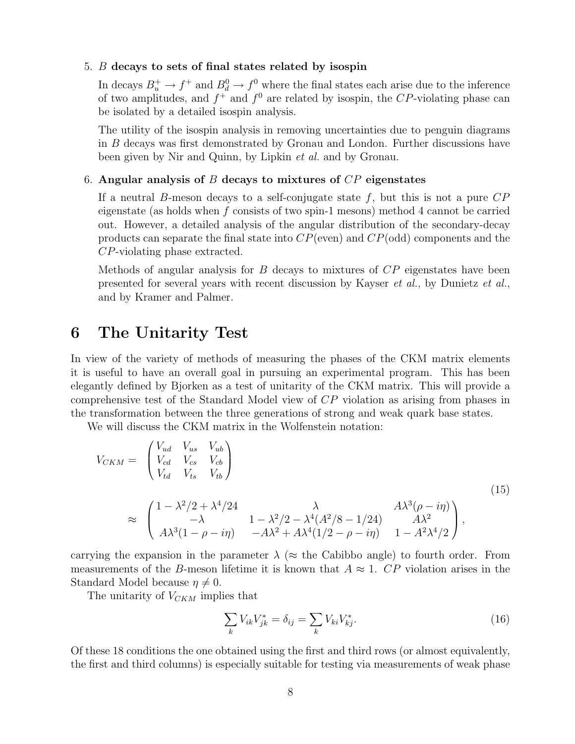#### 5. B decays to sets of final states related by isospin

In decays  $B_u^+ \to f^+$  and  $B_d^0 \to f^0$  where the final states each arise due to the inference of two amplitudes, and  $f^+$  and  $f^0$  are related by isospin, the CP-violating phase can be isolated by a detailed isospin analysis.

The utility of the isospin analysis in removing uncertainties due to penguin diagrams in B decays was first demonstrated by Gronau and London. Further discussions have been given by Nir and Quinn, by Lipkin et al. and by Gronau.

#### 6. Angular analysis of B decays to mixtures of  $\mathbb{CP}$  eigenstates

If a neutral B-meson decays to a self-conjugate state  $f$ , but this is not a pure  $CP$ eigenstate (as holds when  $f$  consists of two spin-1 mesons) method 4 cannot be carried out. However, a detailed analysis of the angular distribution of the secondary-decay products can separate the final state into  $CP$ (even) and  $CP$ (odd) components and the CP-violating phase extracted.

Methods of angular analysis for B decays to mixtures of  $\mathbb{CP}$  eigenstates have been presented for several years with recent discussion by Kayser et al., by Dunietz et al., and by Kramer and Palmer.

### 6 The Unitarity Test

In view of the variety of methods of measuring the phases of the CKM matrix elements it is useful to have an overall goal in pursuing an experimental program. This has been elegantly defined by Bjorken as a test of unitarity of the CKM matrix. This will provide a comprehensive test of the Standard Model view of CP violation as arising from phases in the transformation between the three generations of strong and weak quark base states.

We will discuss the CKM matrix in the Wolfenstein notation:

$$
V_{CKM} = \begin{pmatrix} V_{ud} & V_{us} & V_{ub} \\ V_{cd} & V_{cs} & V_{cb} \\ V_{td} & V_{ts} & V_{tb} \end{pmatrix}
$$
  
\n
$$
\approx \begin{pmatrix} 1 - \lambda^2/2 + \lambda^4/24 & \lambda & A\lambda^3(\rho - i\eta) \\ -\lambda & 1 - \lambda^2/2 - \lambda^4(A^2/8 - 1/24) & A\lambda^2 \\ A\lambda^3(1 - \rho - i\eta) & -A\lambda^2 + A\lambda^4(1/2 - \rho - i\eta) & 1 - A^2\lambda^4/2 \end{pmatrix},
$$
\n(15)

carrying the expansion in the parameter  $\lambda$  ( $\approx$  the Cabibbo angle) to fourth order. From measurements of the B-meson lifetime it is known that  $A \approx 1$ . CP violation arises in the Standard Model because  $\eta \neq 0$ .

The unitarity of  $V_{CKM}$  implies that

$$
\sum_{k} V_{ik} V_{jk}^* = \delta_{ij} = \sum_{k} V_{ki} V_{kj}^*.
$$
 (16)

Of these 18 conditions the one obtained using the first and third rows (or almost equivalently, the first and third columns) is especially suitable for testing via measurements of weak phase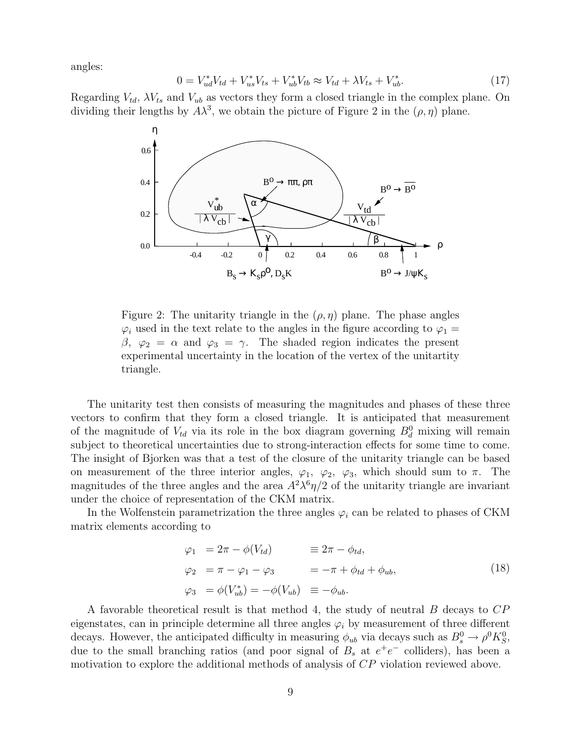angles:

$$
0 = V_{ud}^* V_{td} + V_{us}^* V_{ts} + V_{ub}^* V_{tb} \approx V_{td} + \lambda V_{ts} + V_{ub}^*.
$$
\n(17)

Regarding  $V_{td}$ ,  $\lambda V_{ts}$  and  $V_{ub}$  as vectors they form a closed triangle in the complex plane. On dividing their lengths by  $A\lambda^3$ , we obtain the picture of Figure 2 in the  $(\rho, \eta)$  plane.



Figure 2: The unitarity triangle in the  $(\rho, \eta)$  plane. The phase angles  $\varphi_i$  used in the text relate to the angles in the figure according to  $\varphi_1 =$  $β, φ<sub>2</sub> = α$  and  $φ<sub>3</sub> = γ$ . The shaded region indicates the present experimental uncertainty in the location of the vertex of the unitartity triangle.

The unitarity test then consists of measuring the magnitudes and phases of these three vectors to confirm that they form a closed triangle. It is anticipated that measurement of the magnitude of  $V_{td}$  via its role in the box diagram governing  $B_d^0$  mixing will remain subject to theoretical uncertainties due to strong-interaction effects for some time to come. The insight of Bjorken was that a test of the closure of the unitarity triangle can be based on measurement of the three interior angles,  $\varphi_1$ ,  $\varphi_2$ ,  $\varphi_3$ , which should sum to  $\pi$ . The magnitudes of the three angles and the area  $A^2 \lambda^6 \eta/2$  of the unitarity triangle are invariant under the choice of representation of the CKM matrix.

In the Wolfenstein parametrization the three angles  $\varphi_i$  can be related to phases of CKM matrix elements according to

$$
\varphi_1 = 2\pi - \phi(V_{td}) \equiv 2\pi - \phi_{td},
$$
  
\n
$$
\varphi_2 = \pi - \varphi_1 - \varphi_3 = -\pi + \phi_{td} + \phi_{ub},
$$
  
\n
$$
\varphi_3 = \phi(V_{ub}^*) = -\phi(V_{ub}) \equiv -\phi_{ub}.
$$
\n(18)

A favorable theoretical result is that method 4, the study of neutral B decays to CP eigenstates, can in principle determine all three angles  $\varphi_i$  by measurement of three different decays. However, the anticipated difficulty in measuring  $\phi_{ub}$  via decays such as  $B_s^0 \to \rho^0 K_S^0$ , due to the small branching ratios (and poor signal of  $B_s$  at  $e^+e^-$  colliders), has been a motivation to explore the additional methods of analysis of CP violation reviewed above.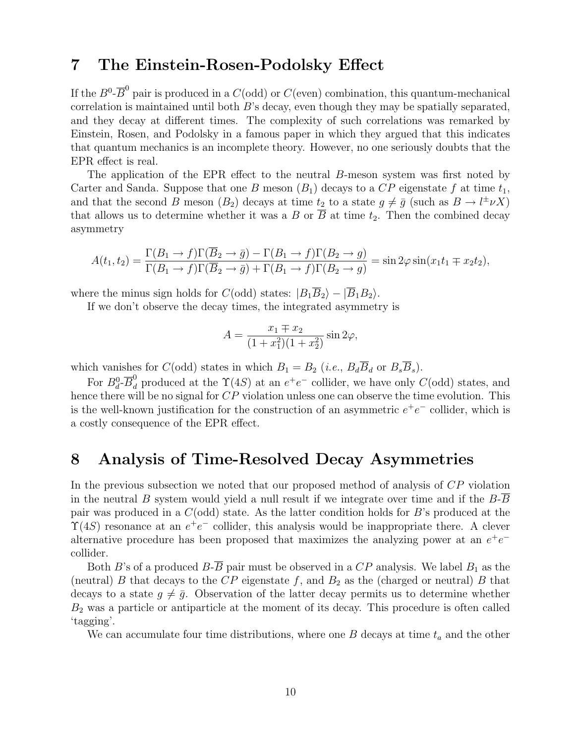# 7 The Einstein-Rosen-Podolsky Effect

If the  $B^0$ - $\overline{B}^0$  pair is produced in a  $C(\text{odd})$  or  $C(\text{even})$  combination, this quantum-mechanical correlation is maintained until both  $B$ 's decay, even though they may be spatially separated, and they decay at different times. The complexity of such correlations was remarked by Einstein, Rosen, and Podolsky in a famous paper in which they argued that this indicates that quantum mechanics is an incomplete theory. However, no one seriously doubts that the EPR effect is real.

The application of the EPR effect to the neutral B-meson system was first noted by Carter and Sanda. Suppose that one B meson  $(B_1)$  decays to a CP eigenstate f at time  $t_1$ , and that the second B meson  $(B_2)$  decays at time  $t_2$  to a state  $g \neq \bar{g}$  (such as  $B \to l^{\pm} \nu X$ ) that allows us to determine whether it was a B or  $\overline{B}$  at time  $t_2$ . Then the combined decay asymmetry

$$
A(t_1, t_2) = \frac{\Gamma(B_1 \to f)\Gamma(\overline{B}_2 \to \overline{g}) - \Gamma(B_1 \to f)\Gamma(B_2 \to g)}{\Gamma(B_1 \to f)\Gamma(\overline{B}_2 \to \overline{g}) + \Gamma(B_1 \to f)\Gamma(B_2 \to g)} = \sin 2\varphi \sin(x_1 t_1 \mp x_2 t_2),
$$

where the minus sign holds for  $C(\text{odd})$  states:  $|B_1\overline{B}_2\rangle - |\overline{B}_1B_2\rangle$ .

If we don't observe the decay times, the integrated asymmetry is

$$
A = \frac{x_1 \mp x_2}{(1 + x_1^2)(1 + x_2^2)} \sin 2\varphi,
$$

which vanishes for  $C(\text{odd})$  states in which  $B_1 = B_2$  (*i.e.*,  $B_d\overline{B}_d$  or  $B_s\overline{B}_s$ ).

For  $B_d^0$ - $\overline{B}_d^0$  produced at the  $\Upsilon(4S)$  at an  $e^+e^-$  collider, we have only  $C(\text{odd})$  states, and hence there will be no signal for  $CP$  violation unless one can observe the time evolution. This is the well-known justification for the construction of an asymmetric  $e^+e^-$  collider, which is a costly consequence of the EPR effect.

## 8 Analysis of Time-Resolved Decay Asymmetries

In the previous subsection we noted that our proposed method of analysis of CP violation in the neutral  $B$  system would yield a null result if we integrate over time and if the  $B$ - $B$ pair was produced in a  $C(\text{odd})$  state. As the latter condition holds for B's produced at the  $\Upsilon(4S)$  resonance at an  $e^+e^-$  collider, this analysis would be inappropriate there. A clever alternative procedure has been proposed that maximizes the analyzing power at an  $e^+e^$ collider.

Both B's of a produced  $B-\overline{B}$  pair must be observed in a  $CP$  analysis. We label  $B_1$  as the (neutral) B that decays to the  $CP$  eigenstate f, and  $B_2$  as the (charged or neutral) B that decays to a state  $g \neq \bar{g}$ . Observation of the latter decay permits us to determine whether  $B_2$  was a particle or antiparticle at the moment of its decay. This procedure is often called 'tagging'.

We can accumulate four time distributions, where one  $B$  decays at time  $t_a$  and the other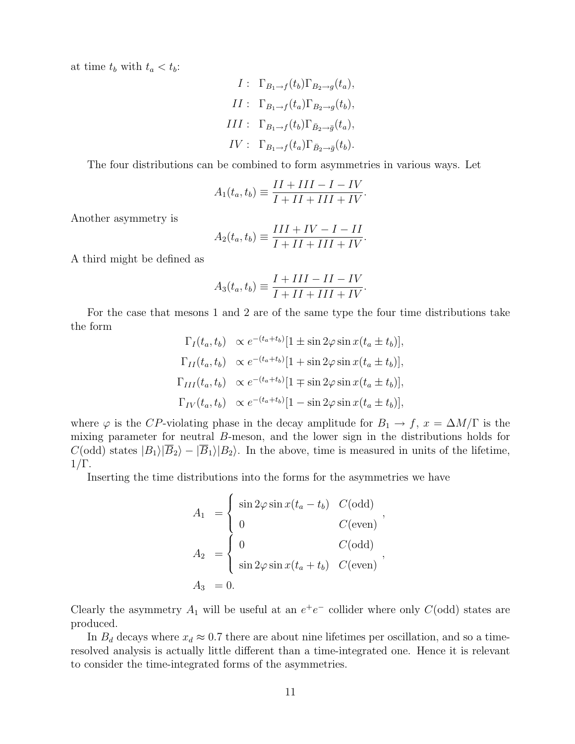at time  $t_b$  with  $t_a < t_b$ :

$$
I: \Gamma_{B_1 \to f}(t_b) \Gamma_{B_2 \to g}(t_a),
$$
  
\n
$$
II: \Gamma_{B_1 \to f}(t_a) \Gamma_{B_2 \to g}(t_b),
$$
  
\n
$$
III: \Gamma_{B_1 \to f}(t_b) \Gamma_{\bar{B}_2 \to \bar{g}}(t_a),
$$
  
\n
$$
IV: \Gamma_{B_1 \to f}(t_a) \Gamma_{\bar{B}_2 \to \bar{g}}(t_b).
$$

The four distributions can be combined to form asymmetries in various ways. Let

$$
A_1(t_a, t_b) \equiv \frac{II + III - I - IV}{I + II + III + IV}.
$$

Another asymmetry is

$$
A_2(t_a, t_b) \equiv \frac{III + IV - I - II}{I + II + III + IV}.
$$

A third might be defined as

$$
A_3(t_a, t_b) \equiv \frac{I + III - II - IV}{I + II + III + IV}.
$$

For the case that mesons 1 and 2 are of the same type the four time distributions take the form

$$
\Gamma_I(t_a, t_b) \propto e^{-(t_a + t_b)} [1 \pm \sin 2\varphi \sin x (t_a \pm t_b)],
$$
  
\n
$$
\Gamma_{II}(t_a, t_b) \propto e^{-(t_a + t_b)} [1 + \sin 2\varphi \sin x (t_a \pm t_b)],
$$
  
\n
$$
\Gamma_{III}(t_a, t_b) \propto e^{-(t_a + t_b)} [1 \mp \sin 2\varphi \sin x (t_a \pm t_b)],
$$
  
\n
$$
\Gamma_{IV}(t_a, t_b) \propto e^{-(t_a + t_b)} [1 - \sin 2\varphi \sin x (t_a \pm t_b)],
$$

where  $\varphi$  is the CP-violating phase in the decay amplitude for  $B_1 \to f$ ,  $x = \Delta M/\Gamma$  is the mixing parameter for neutral B-meson, and the lower sign in the distributions holds for  $C(\text{odd})$  states  $|B_1\rangle|\overline{B}_2\rangle - |\overline{B}_1\rangle|B_2\rangle$ . In the above, time is measured in units of the lifetime,  $1/\Gamma$ .

Inserting the time distributions into the forms for the asymmetries we have

$$
A_1 = \begin{cases} \sin 2\varphi \sin x (t_a - t_b) & C(\text{odd}) \\ 0 & C(\text{even}) \end{cases},
$$
  
\n
$$
A_2 = \begin{cases} 0 & C(\text{odd}) \\ \sin 2\varphi \sin x (t_a + t_b) & C(\text{even}) \end{cases},
$$
  
\n
$$
A_3 = 0.
$$

Clearly the asymmetry  $A_1$  will be useful at an  $e^+e^-$  collider where only  $C(\text{odd})$  states are produced.

In  $B_d$  decays where  $x_d \approx 0.7$  there are about nine lifetimes per oscillation, and so a timeresolved analysis is actually little different than a time-integrated one. Hence it is relevant to consider the time-integrated forms of the asymmetries.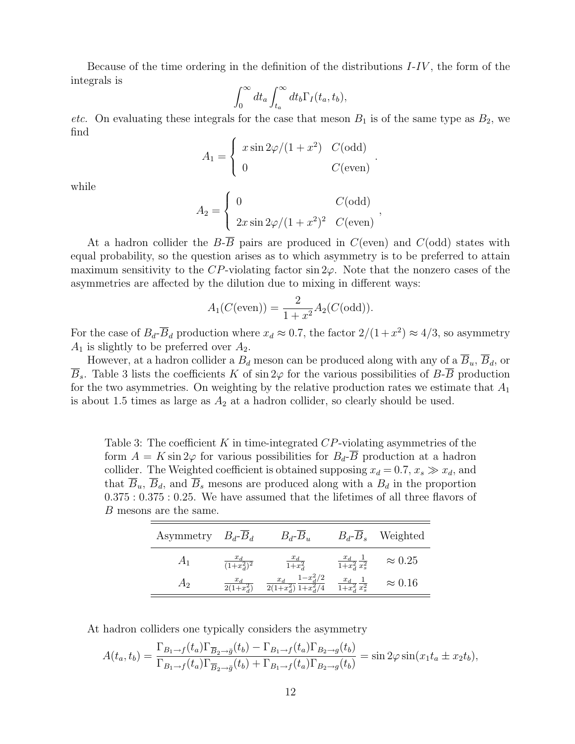Because of the time ordering in the definition of the distributions  $I-IV$ , the form of the integrals is  $\overline{r}$  $\overline{r}$ 

$$
\int_0^\infty dt_a \int_{t_a}^\infty dt_b \Gamma_I(t_a, t_b),
$$

etc. On evaluating these integrals for the case that meson  $B_1$  is of the same type as  $B_2$ , we find  $\overline{a}$ 

$$
A_1 = \begin{cases} x \sin 2\varphi/(1+x^2) & C(\text{odd})\\ 0 & C(\text{even}) \end{cases}
$$

.

while

$$
A_2 = \begin{cases} 0 & C(\text{odd}) \\ 2x \sin 2\varphi/(1+x^2)^2 & C(\text{even}) \end{cases}
$$

At a hadron collider the  $B-\overline{B}$  pairs are produced in  $C$ (even) and  $C$ (odd) states with equal probability, so the question arises as to which asymmetry is to be preferred to attain maximum sensitivity to the CP-violating factor  $\sin 2\varphi$ . Note that the nonzero cases of the asymmetries are affected by the dilution due to mixing in different ways:

$$
A_1(C(\text{even})) = \frac{2}{1+x^2} A_2(C(\text{odd})).
$$

For the case of  $B_d$ - $\overline{B}_d$  production where  $x_d \approx 0.7$ , the factor  $2/(1+x^2) \approx 4/3$ , so asymmetry  $A_1$  is slightly to be preferred over  $A_2$ .

However, at a hadron collider a  $B_d$  meson can be produced along with any of a  $\overline{B}_u$ ,  $\overline{B}_d$ , or  $\overline{B}_s$ . Table 3 lists the coefficients K of sin 2 $\varphi$  for the various possibilities of  $B$ - $\overline{B}$  production for the two asymmetries. On weighting by the relative production rates we estimate that  $A_1$ is about 1.5 times as large as  $A_2$  at a hadron collider, so clearly should be used.

Table 3: The coefficient K in time-integrated  $CP$ -violating asymmetries of the form  $A = K \sin 2\varphi$  for various possibilities for  $B_d$ - $\overline{B}$  production at a hadron collider. The Weighted coefficient is obtained supposing  $x_d = 0.7, x_s \gg x_d$ , and that  $B_u$ ,  $B_d$ , and  $B_s$  mesons are produced along with a  $B_d$  in the proportion 0.375 : 0.375 : 0.25. We have assumed that the lifetimes of all three flavors of B mesons are the same.

| Asymmetry | $B_d$ - $B_d$ | $B_d$ - $B_u$            | $B_d - B_s$                           | Weighted       |
|-----------|---------------|--------------------------|---------------------------------------|----------------|
| $A_1$     | $(1+x_4^2)^2$ | $\frac{u}{1+x^2}$        | $\frac{u_d}{1+x_d^2} \frac{1}{x_s^2}$ | $\approx 0.25$ |
| A2        |               | $- x_{d}^{2}/2$<br>$x_d$ | $\overline{1+x^2}$ $\overline{x^2_s}$ | $\approx 0.16$ |

At hadron colliders one typically considers the asymmetry

$$
A(t_a, t_b) = \frac{\Gamma_{B_1 \to f}(t_a) \Gamma_{\overline{B}_2 \to \overline{g}}(t_b) - \Gamma_{B_1 \to f}(t_a) \Gamma_{B_2 \to g}(t_b)}{\Gamma_{B_1 \to f}(t_a) \Gamma_{\overline{B}_2 \to \overline{g}}(t_b) + \Gamma_{B_1 \to f}(t_a) \Gamma_{B_2 \to g}(t_b)} = \sin 2\varphi \sin(x_1 t_a \pm x_2 t_b),
$$